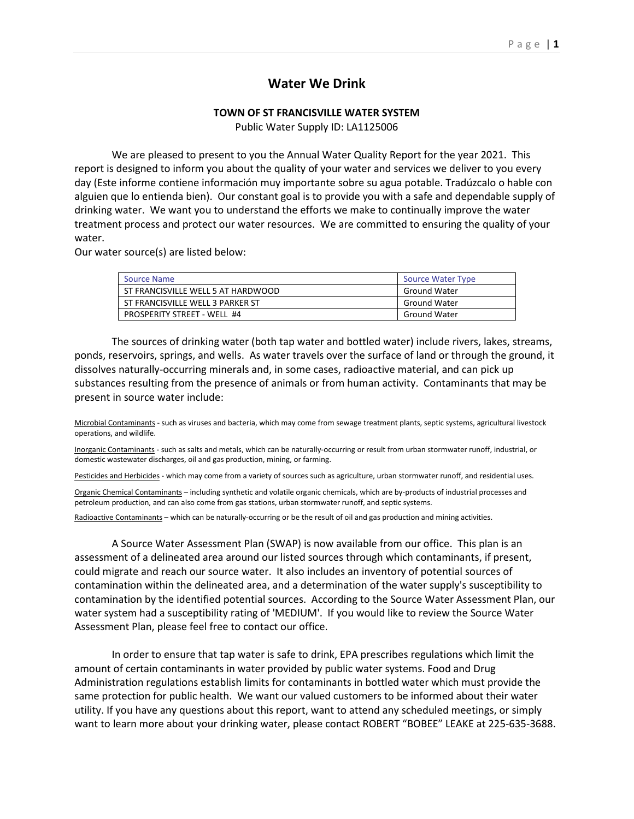## **Water We Drink**

## **TOWN OF ST FRANCISVILLE WATER SYSTEM**

Public Water Supply ID: LA1125006

We are pleased to present to you the Annual Water Quality Report for the year 2021. This report is designed to inform you about the quality of your water and services we deliver to you every day (Este informe contiene información muy importante sobre su agua potable. Tradúzcalo o hable con alguien que lo entienda bien). Our constant goal is to provide you with a safe and dependable supply of drinking water. We want you to understand the efforts we make to continually improve the water treatment process and protect our water resources. We are committed to ensuring the quality of your water.

Our water source(s) are listed below:

| Source Name                        | <b>Source Water Type</b> |
|------------------------------------|--------------------------|
| ST FRANCISVILLE WELL 5 AT HARDWOOD | <b>Ground Water</b>      |
| ST FRANCISVILLE WELL 3 PARKER ST   | <b>Ground Water</b>      |
| PROSPERITY STREET - WELL #4        | <b>Ground Water</b>      |

The sources of drinking water (both tap water and bottled water) include rivers, lakes, streams, ponds, reservoirs, springs, and wells. As water travels over the surface of land or through the ground, it dissolves naturally-occurring minerals and, in some cases, radioactive material, and can pick up substances resulting from the presence of animals or from human activity. Contaminants that may be present in source water include:

Microbial Contaminants - such as viruses and bacteria, which may come from sewage treatment plants, septic systems, agricultural livestock operations, and wildlife.

Inorganic Contaminants - such as salts and metals, which can be naturally-occurring or result from urban stormwater runoff, industrial, or domestic wastewater discharges, oil and gas production, mining, or farming.

Pesticides and Herbicides - which may come from a variety of sources such as agriculture, urban stormwater runoff, and residential uses.

Organic Chemical Contaminants – including synthetic and volatile organic chemicals, which are by-products of industrial processes and petroleum production, and can also come from gas stations, urban stormwater runoff, and septic systems.

Radioactive Contaminants – which can be naturally-occurring or be the result of oil and gas production and mining activities.

A Source Water Assessment Plan (SWAP) is now available from our office. This plan is an assessment of a delineated area around our listed sources through which contaminants, if present, could migrate and reach our source water. It also includes an inventory of potential sources of contamination within the delineated area, and a determination of the water supply's susceptibility to contamination by the identified potential sources. According to the Source Water Assessment Plan, our water system had a susceptibility rating of 'MEDIUM'. If you would like to review the Source Water Assessment Plan, please feel free to contact our office.

In order to ensure that tap water is safe to drink, EPA prescribes regulations which limit the amount of certain contaminants in water provided by public water systems. Food and Drug Administration regulations establish limits for contaminants in bottled water which must provide the same protection for public health. We want our valued customers to be informed about their water utility. If you have any questions about this report, want to attend any scheduled meetings, or simply want to learn more about your drinking water, please contact ROBERT "BOBEE" LEAKE at 225-635-3688.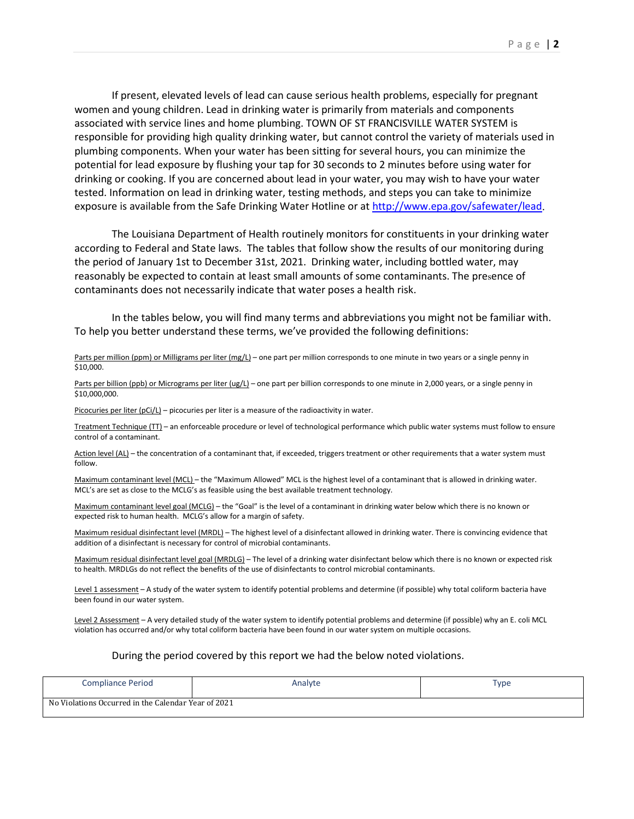If present, elevated levels of lead can cause serious health problems, especially for pregnant women and young children. Lead in drinking water is primarily from materials and components associated with service lines and home plumbing. TOWN OF ST FRANCISVILLE WATER SYSTEM is responsible for providing high quality drinking water, but cannot control the variety of materials used in plumbing components. When your water has been sitting for several hours, you can minimize the potential for lead exposure by flushing your tap for 30 seconds to 2 minutes before using water for drinking or cooking. If you are concerned about lead in your water, you may wish to have your water tested. Information on lead in drinking water, testing methods, and steps you can take to minimize exposure is available from the Safe Drinking Water Hotline or a[t http://www.epa.gov/safewater/lead.](http://www.epa.gov/safewater/lead)

The Louisiana Department of Health routinely monitors for constituents in your drinking water according to Federal and State laws. The tables that follow show the results of our monitoring during the period of January 1st to December 31st, 2021. Drinking water, including bottled water, may reasonably be expected to contain at least small amounts of some contaminants. The presence of contaminants does not necessarily indicate that water poses a health risk.

In the tables below, you will find many terms and abbreviations you might not be familiar with. To help you better understand these terms, we've provided the following definitions:

## Parts per million (ppm) or Milligrams per liter (mg/L) – one part per million corresponds to one minute in two years or a single penny in \$10,000.

Parts per billion (ppb) or Micrograms per liter (ug/L) – one part per billion corresponds to one minute in 2,000 years, or a single penny in \$10,000,000.

Picocuries per liter (pCi/L) – picocuries per liter is a measure of the radioactivity in water.

Treatment Technique (TT) – an enforceable procedure or level of technological performance which public water systems must follow to ensure control of a contaminant.

Action level (AL) – the concentration of a contaminant that, if exceeded, triggers treatment or other requirements that a water system must follow.

Maximum contaminant level (MCL) – the "Maximum Allowed" MCL is the highest level of a contaminant that is allowed in drinking water. MCL's are set as close to the MCLG's as feasible using the best available treatment technology.

Maximum contaminant level goal (MCLG) – the "Goal" is the level of a contaminant in drinking water below which there is no known or expected risk to human health. MCLG's allow for a margin of safety.

Maximum residual disinfectant level (MRDL) – The highest level of a disinfectant allowed in drinking water. There is convincing evidence that addition of a disinfectant is necessary for control of microbial contaminants.

Maximum residual disinfectant level goal (MRDLG) – The level of a drinking water disinfectant below which there is no known or expected risk to health. MRDLGs do not reflect the benefits of the use of disinfectants to control microbial contaminants.

Level 1 assessment – A study of the water system to identify potential problems and determine (if possible) why total coliform bacteria have been found in our water system.

Level 2 Assessment - A very detailed study of the water system to identify potential problems and determine (if possible) why an E. coli MCL violation has occurred and/or why total coliform bacteria have been found in our water system on multiple occasions.

## During the period covered by this report we had the below noted violations.

| <b>Compliance Period</b>                            | Analyte | Type |  |  |  |  |  |
|-----------------------------------------------------|---------|------|--|--|--|--|--|
| No Violations Occurred in the Calendar Year of 2021 |         |      |  |  |  |  |  |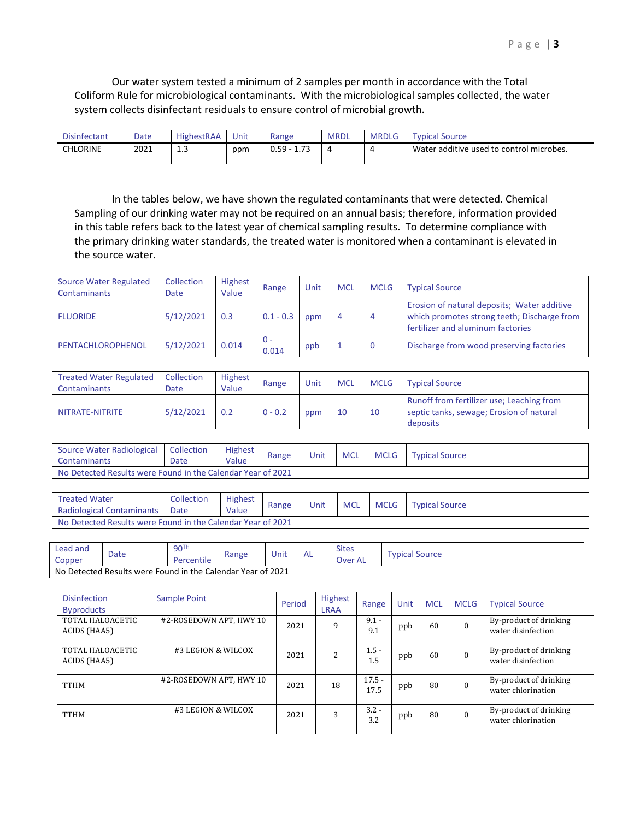Our water system tested a minimum of 2 samples per month in accordance with the Total Coliform Rule for microbiological contaminants. With the microbiological samples collected, the water system collects disinfectant residuals to ensure control of microbial growth.

| <b>Disinfectant</b> | Date | <b>HighestRAA</b>   | Unit | Range                                    | <b>MRDL</b> | <b>MRDLG</b> | Source<br><b>vpical</b>                  |
|---------------------|------|---------------------|------|------------------------------------------|-------------|--------------|------------------------------------------|
| <b>CHLORINE</b>     | 2021 | -<br><b></b><br>___ | ppm  | $\overline{\phantom{0}}$<br>0.59<br>1.73 |             | $\epsilon$   | Water additive used to control microbes. |

In the tables below, we have shown the regulated contaminants that were detected. Chemical Sampling of our drinking water may not be required on an annual basis; therefore, information provided in this table refers back to the latest year of chemical sampling results. To determine compliance with the primary drinking water standards, the treated water is monitored when a contaminant is elevated in the source water.

| <b>Source Water Regulated</b><br><b>Contaminants</b> | Collection<br>Date | <b>Highest</b><br>Value | Range          | Unit | <b>MCL</b> | <b>MCLG</b> | <b>Typical Source</b>                                                                                                           |
|------------------------------------------------------|--------------------|-------------------------|----------------|------|------------|-------------|---------------------------------------------------------------------------------------------------------------------------------|
| <b>FLUORIDE</b>                                      | 5/12/2021          | 0.3                     | $0.1 - 0.3$    | ppm  | 4          | -4          | Erosion of natural deposits; Water additive<br>which promotes strong teeth; Discharge from<br>fertilizer and aluminum factories |
| PENTACHLOROPHENOL                                    | 5/12/2021          | 0.014                   | $0 -$<br>0.014 | ppb  |            | 0           | Discharge from wood preserving factories                                                                                        |

| <b>Treated Water Regulated</b><br>Contaminants | Collection<br>Date | Highest<br>Value | Range     | Unit | <b>MCL</b> | <b>MCLG</b> | <b>Typical Source</b>                                                                             |
|------------------------------------------------|--------------------|------------------|-----------|------|------------|-------------|---------------------------------------------------------------------------------------------------|
| NITRATE-NITRITE                                | 5/12/2021          | 0.2              | $0 - 0.2$ | ppm  | 10         | 10          | Runoff from fertilizer use; Leaching from<br>septic tanks, sewage; Erosion of natural<br>deposits |

| Source Water Radiological<br>Contaminants                   | Collection<br>Date | <b>Highest</b><br>Value | Range | Unit | <b>MCL</b> | <b>MCLG</b> | <b>Typical Source</b> |  |  |
|-------------------------------------------------------------|--------------------|-------------------------|-------|------|------------|-------------|-----------------------|--|--|
| No Detected Results were Found in the Calendar Year of 2021 |                    |                         |       |      |            |             |                       |  |  |

| <b>Treated Water</b>                                        | Collection | <b>Highest</b> | Range | Unit | <b>MCL</b> | <b>MCLG</b> | <b>Typical Source</b> |  |
|-------------------------------------------------------------|------------|----------------|-------|------|------------|-------------|-----------------------|--|
| <b>Radiological Contaminants</b>                            | Date       | Value          |       |      |            |             |                       |  |
| No Detected Results were Found in the Calendar Year of 2021 |            |                |       |      |            |             |                       |  |

| Lead and<br>Copper                                          | Date | 90 <sup>TH</sup><br>Percentile | Range | Unit | AL | <b>Sites</b><br>Over AL | Typical Source |  |  |
|-------------------------------------------------------------|------|--------------------------------|-------|------|----|-------------------------|----------------|--|--|
| No Detected Results were Found in the Calendar Year of 2021 |      |                                |       |      |    |                         |                |  |  |

| <b>Disinfection</b><br><b>Byproducts</b> | Sample Point            | Period | <b>Highest</b><br><b>LRAA</b> | Range            | Unit | <b>MCL</b> | <b>MCLG</b> | <b>Typical Source</b>                        |
|------------------------------------------|-------------------------|--------|-------------------------------|------------------|------|------------|-------------|----------------------------------------------|
| TOTAL HALOACETIC<br>ACIDS (HAA5)         | #2-ROSEDOWN APT. HWY 10 | 2021   | 9                             | $9.1 -$<br>9.1   | ppb  | 60         | $\Omega$    | By-product of drinking<br>water disinfection |
| TOTAL HALOACETIC<br>ACIDS (HAA5)         | #3 LEGION & WILCOX      | 2021   | <sup>2</sup>                  | $1.5 -$<br>1.5   | ppb  | 60         | $\Omega$    | By-product of drinking<br>water disinfection |
| <b>TTHM</b>                              | #2-ROSEDOWN APT, HWY 10 | 2021   | 18                            | $17.5 -$<br>17.5 | ppb  | 80         | $\Omega$    | By-product of drinking<br>water chlorination |
| <b>TTHM</b>                              | #3 LEGION & WILCOX      | 2021   | 3                             | $3.2 -$<br>3.2   | ppb  | 80         | $\Omega$    | By-product of drinking<br>water chlorination |